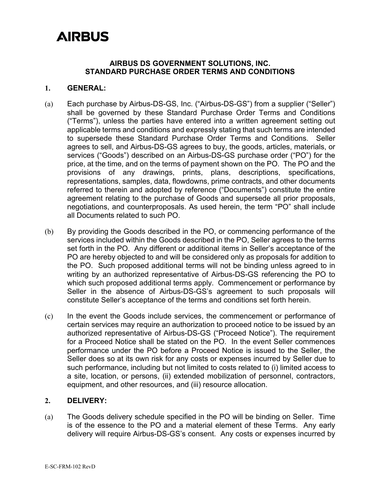#### **AIRBUS DS GOVERNMENT SOLUTIONS, INC. STANDARD PURCHASE ORDER TERMS AND CONDITIONS**

#### **1. GENERAL:**

- (a) Each purchase by Airbus-DS-GS, Inc. ("Airbus-DS-GS") from a supplier ("Seller") shall be governed by these Standard Purchase Order Terms and Conditions ("Terms"), unless the parties have entered into a written agreement setting out applicable terms and conditions and expressly stating that such terms are intended to supersede these Standard Purchase Order Terms and Conditions. Seller agrees to sell, and Airbus-DS-GS agrees to buy, the goods, articles, materials, or services ("Goods") described on an Airbus-DS-GS purchase order ("PO") for the price, at the time, and on the terms of payment shown on the PO. The PO and the provisions of any drawings, prints, plans, descriptions, specifications, representations, samples, data, flowdowns, prime contracts, and other documents referred to therein and adopted by reference ("Documents") constitute the entire agreement relating to the purchase of Goods and supersede all prior proposals, negotiations, and counterproposals. As used herein, the term "PO" shall include all Documents related to such PO.
- (b) By providing the Goods described in the PO, or commencing performance of the services included within the Goods described in the PO, Seller agrees to the terms set forth in the PO. Any different or additional items in Seller's acceptance of the PO are hereby objected to and will be considered only as proposals for addition to the PO. Such proposed additional terms will not be binding unless agreed to in writing by an authorized representative of Airbus-DS-GS referencing the PO to which such proposed additional terms apply. Commencement or performance by Seller in the absence of Airbus-DS-GS's agreement to such proposals will constitute Seller's acceptance of the terms and conditions set forth herein.
- (c) In the event the Goods include services, the commencement or performance of certain services may require an authorization to proceed notice to be issued by an authorized representative of Airbus-DS-GS ("Proceed Notice"). The requirement for a Proceed Notice shall be stated on the PO. In the event Seller commences performance under the PO before a Proceed Notice is issued to the Seller, the Seller does so at its own risk for any costs or expenses incurred by Seller due to such performance, including but not limited to costs related to (i) limited access to a site, location, or persons, (ii) extended mobilization of personnel, contractors, equipment, and other resources, and (iii) resource allocation.

### **2. DELIVERY:**

(a) The Goods delivery schedule specified in the PO will be binding on Seller. Time is of the essence to the PO and a material element of these Terms. Any early delivery will require Airbus-DS-GS's consent. Any costs or expenses incurred by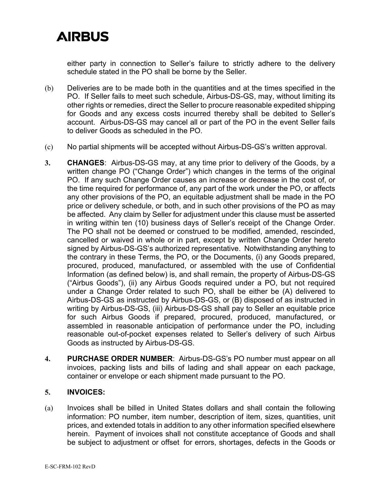either party in connection to Seller's failure to strictly adhere to the delivery schedule stated in the PO shall be borne by the Seller.

- (b) Deliveries are to be made both in the quantities and at the times specified in the PO. If Seller fails to meet such schedule, Airbus-DS-GS, may, without limiting its other rights or remedies, direct the Seller to procure reasonable expedited shipping for Goods and any excess costs incurred thereby shall be debited to Seller's account. Airbus-DS-GS may cancel all or part of the PO in the event Seller fails to deliver Goods as scheduled in the PO.
- (c) No partial shipments will be accepted without Airbus-DS-GS's written approval.
- **3. CHANGES**: Airbus-DS-GS may, at any time prior to delivery of the Goods, by a written change PO ("Change Order") which changes in the terms of the original PO. If any such Change Order causes an increase or decrease in the cost of, or the time required for performance of, any part of the work under the PO, or affects any other provisions of the PO, an equitable adjustment shall be made in the PO price or delivery schedule, or both, and in such other provisions of the PO as may be affected. Any claim by Seller for adjustment under this clause must be asserted in writing within ten (10) business days of Seller's receipt of the Change Order. The PO shall not be deemed or construed to be modified, amended, rescinded, cancelled or waived in whole or in part, except by written Change Order hereto signed by Airbus-DS-GS's authorized representative. Notwithstanding anything to the contrary in these Terms, the PO, or the Documents, (i) any Goods prepared, procured, produced, manufactured, or assembled with the use of Confidential Information (as defined below) is, and shall remain, the property of Airbus-DS-GS ("Airbus Goods"), (ii) any Airbus Goods required under a PO, but not required under a Change Order related to such PO, shall be either be (A) delivered to Airbus-DS-GS as instructed by Airbus-DS-GS, or (B) disposed of as instructed in writing by Airbus-DS-GS, (iii) Airbus-DS-GS shall pay to Seller an equitable price for such Airbus Goods if prepared, procured, produced, manufactured, or assembled in reasonable anticipation of performance under the PO, including reasonable out-of-pocket expenses related to Seller's delivery of such Airbus Goods as instructed by Airbus-DS-GS.
- **4. PURCHASE ORDER NUMBER**: Airbus-DS-GS's PO number must appear on all invoices, packing lists and bills of lading and shall appear on each package, container or envelope or each shipment made pursuant to the PO.

### **5. INVOICES:**

(a) Invoices shall be billed in United States dollars and shall contain the following information: PO number, item number, description of item, sizes, quantities, unit prices, and extended totals in addition to any other information specified elsewhere herein. Payment of invoices shall not constitute acceptance of Goods and shall be subject to adjustment or offset for errors, shortages, defects in the Goods or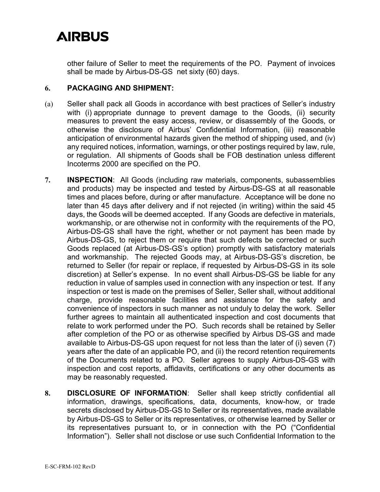other failure of Seller to meet the requirements of the PO. Payment of invoices shall be made by Airbus-DS-GS net sixty (60) days.

### **6. PACKAGING AND SHIPMENT:**

- (a) Seller shall pack all Goods in accordance with best practices of Seller's industry with (i) appropriate dunnage to prevent damage to the Goods, (ii) security measures to prevent the easy access, review, or disassembly of the Goods, or otherwise the disclosure of Airbus' Confidential Information, (iii) reasonable anticipation of environmental hazards given the method of shipping used, and (iv) any required notices, information, warnings, or other postings required by law, rule, or regulation. All shipments of Goods shall be FOB destination unless different Incoterms 2000 are specified on the PO.
- **7. INSPECTION**: All Goods (including raw materials, components, subassemblies and products) may be inspected and tested by Airbus-DS-GS at all reasonable times and places before, during or after manufacture. Acceptance will be done no later than 45 days after delivery and if not rejected (in writing) within the said 45 days, the Goods will be deemed accepted. If any Goods are defective in materials, workmanship, or are otherwise not in conformity with the requirements of the PO, Airbus-DS-GS shall have the right, whether or not payment has been made by Airbus-DS-GS, to reject them or require that such defects be corrected or such Goods replaced (at Airbus-DS-GS's option) promptly with satisfactory materials and workmanship. The rejected Goods may, at Airbus-DS-GS's discretion, be returned to Seller (for repair or replace, if requested by Airbus-DS-GS in its sole discretion) at Seller's expense. In no event shall Airbus-DS-GS be liable for any reduction in value of samples used in connection with any inspection or test. If any inspection or test is made on the premises of Seller, Seller shall, without additional charge, provide reasonable facilities and assistance for the safety and convenience of inspectors in such manner as not unduly to delay the work. Seller further agrees to maintain all authenticated inspection and cost documents that relate to work performed under the PO. Such records shall be retained by Seller after completion of the PO or as otherwise specified by Airbus DS-GS and made available to Airbus-DS-GS upon request for not less than the later of (i) seven (7) years after the date of an applicable PO, and (ii) the record retention requirements of the Documents related to a PO. Seller agrees to supply Airbus-DS-GS with inspection and cost reports, affidavits, certifications or any other documents as may be reasonably requested.
- **8. DISCLOSURE OF INFORMATION**: Seller shall keep strictly confidential all information, drawings, specifications, data, documents, know-how, or trade secrets disclosed by Airbus-DS-GS to Seller or its representatives, made available by Airbus-DS-GS to Seller or its representatives, or otherwise learned by Seller or its representatives pursuant to, or in connection with the PO ("Confidential Information"). Seller shall not disclose or use such Confidential Information to the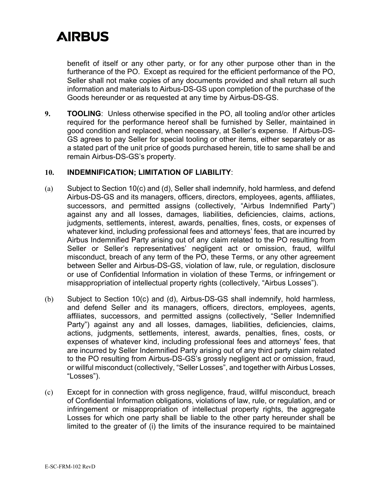benefit of itself or any other party, or for any other purpose other than in the furtherance of the PO. Except as required for the efficient performance of the PO, Seller shall not make copies of any documents provided and shall return all such information and materials to Airbus-DS-GS upon completion of the purchase of the Goods hereunder or as requested at any time by Airbus-DS-GS.

**9. TOOLING**: Unless otherwise specified in the PO, all tooling and/or other articles required for the performance hereof shall be furnished by Seller, maintained in good condition and replaced, when necessary, at Seller's expense. If Airbus-DS-GS agrees to pay Seller for special tooling or other items, either separately or as a stated part of the unit price of goods purchased herein, title to same shall be and remain Airbus-DS-GS's property.

#### **10. INDEMNIFICATION; LIMITATION OF LIABILITY**:

- (a) Subject to Section 10(c) and (d), Seller shall indemnify, hold harmless, and defend Airbus-DS-GS and its managers, officers, directors, employees, agents, affiliates, successors, and permitted assigns (collectively, "Airbus Indemnified Party") against any and all losses, damages, liabilities, deficiencies, claims, actions, judgments, settlements, interest, awards, penalties, fines, costs, or expenses of whatever kind, including professional fees and attorneys' fees, that are incurred by Airbus Indemnified Party arising out of any claim related to the PO resulting from Seller or Seller's representatives' negligent act or omission, fraud, willful misconduct, breach of any term of the PO, these Terms, or any other agreement between Seller and Airbus-DS-GS, violation of law, rule, or regulation, disclosure or use of Confidential Information in violation of these Terms, or infringement or misappropriation of intellectual property rights (collectively, "Airbus Losses").
- (b) Subject to Section 10(c) and (d), Airbus-DS-GS shall indemnify, hold harmless, and defend Seller and its managers, officers, directors, employees, agents, affiliates, successors, and permitted assigns (collectively, "Seller Indemnified Party") against any and all losses, damages, liabilities, deficiencies, claims, actions, judgments, settlements, interest, awards, penalties, fines, costs, or expenses of whatever kind, including professional fees and attorneys' fees, that are incurred by Seller Indemnified Party arising out of any third party claim related to the PO resulting from Airbus-DS-GS's grossly negligent act or omission, fraud, or willful misconduct (collectively, "Seller Losses", and together with Airbus Losses, "Losses").
- (c) Except for in connection with gross negligence, fraud, willful misconduct, breach of Confidential Information obligations, violations of law, rule, or regulation, and or infringement or misappropriation of intellectual property rights, the aggregate Losses for which one party shall be liable to the other party hereunder shall be limited to the greater of (i) the limits of the insurance required to be maintained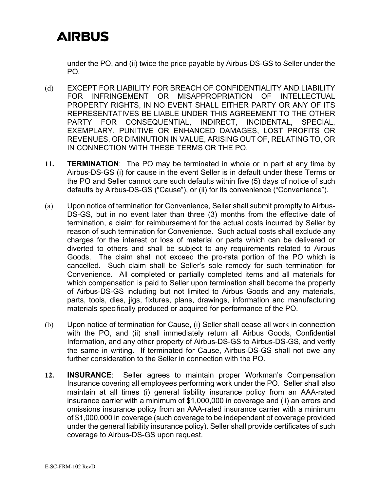under the PO, and (ii) twice the price payable by Airbus-DS-GS to Seller under the PO.

- (d) EXCEPT FOR LIABILITY FOR BREACH OF CONFIDENTIALITY AND LIABILITY FOR INFRINGEMENT OR MISAPPROPRIATION OF INTELLECTUAL PROPERTY RIGHTS, IN NO EVENT SHALL EITHER PARTY OR ANY OF ITS REPRESENTATIVES BE LIABLE UNDER THIS AGREEMENT TO THE OTHER PARTY FOR CONSEQUENTIAL, INDIRECT, INCIDENTAL, SPECIAL, EXEMPLARY, PUNITIVE OR ENHANCED DAMAGES, LOST PROFITS OR REVENUES, OR DIMINUTION IN VALUE, ARISING OUT OF, RELATING TO, OR IN CONNECTION WITH THESE TERMS OR THE PO.
- **11. TERMINATION**: The PO may be terminated in whole or in part at any time by Airbus-DS-GS (i) for cause in the event Seller is in default under these Terms or the PO and Seller cannot cure such defaults within five (5) days of notice of such defaults by Airbus-DS-GS ("Cause"), or (ii) for its convenience ("Convenience").
- (a) Upon notice of termination for Convenience, Seller shall submit promptly to Airbus-DS-GS, but in no event later than three (3) months from the effective date of termination, a claim for reimbursement for the actual costs incurred by Seller by reason of such termination for Convenience. Such actual costs shall exclude any charges for the interest or loss of material or parts which can be delivered or diverted to others and shall be subject to any requirements related to Airbus Goods. The claim shall not exceed the pro-rata portion of the PO which is cancelled. Such claim shall be Seller's sole remedy for such termination for Convenience. All completed or partially completed items and all materials for which compensation is paid to Seller upon termination shall become the property of Airbus-DS-GS including but not limited to Airbus Goods and any materials, parts, tools, dies, jigs, fixtures, plans, drawings, information and manufacturing materials specifically produced or acquired for performance of the PO.
- (b) Upon notice of termination for Cause, (i) Seller shall cease all work in connection with the PO, and (ii) shall immediately return all Airbus Goods, Confidential Information, and any other property of Airbus-DS-GS to Airbus-DS-GS, and verify the same in writing. If terminated for Cause, Airbus-DS-GS shall not owe any further consideration to the Seller in connection with the PO.
- **12. INSURANCE**: Seller agrees to maintain proper Workman's Compensation Insurance covering all employees performing work under the PO. Seller shall also maintain at all times (i) general liability insurance policy from an AAA-rated insurance carrier with a minimum of \$1,000,000 in coverage and (ii) an errors and omissions insurance policy from an AAA-rated insurance carrier with a minimum of \$1,000,000 in coverage (such coverage to be independent of coverage provided under the general liability insurance policy). Seller shall provide certificates of such coverage to Airbus-DS-GS upon request.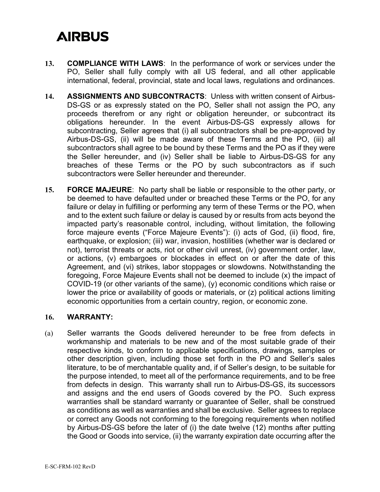- **13. COMPLIANCE WITH LAWS**: In the performance of work or services under the PO, Seller shall fully comply with all US federal, and all other applicable international, federal, provincial, state and local laws, regulations and ordinances.
- **14. ASSIGNMENTS AND SUBCONTRACTS**: Unless with written consent of Airbus-DS-GS or as expressly stated on the PO, Seller shall not assign the PO, any proceeds therefrom or any right or obligation hereunder, or subcontract its obligations hereunder. In the event Airbus-DS-GS expressly allows for subcontracting, Seller agrees that (i) all subcontractors shall be pre-approved by Airbus-DS-GS, (ii) will be made aware of these Terms and the PO, (iii) all subcontractors shall agree to be bound by these Terms and the PO as if they were the Seller hereunder, and (iv) Seller shall be liable to Airbus-DS-GS for any breaches of these Terms or the PO by such subcontractors as if such subcontractors were Seller hereunder and thereunder.
- **15. FORCE MAJEURE**: No party shall be liable or responsible to the other party, or be deemed to have defaulted under or breached these Terms or the PO, for any failure or delay in fulfilling or performing any term of these Terms or the PO, when and to the extent such failure or delay is caused by or results from acts beyond the impacted party's reasonable control, including, without limitation, the following force majeure events ("Force Majeure Events"): (i) acts of God, (ii) flood, fire, earthquake, or explosion; (iii) war, invasion, hostilities (whether war is declared or not), terrorist threats or acts, riot or other civil unrest, (iv) government order, law, or actions, (v) embargoes or blockades in effect on or after the date of this Agreement, and (vi) strikes, labor stoppages or slowdowns. Notwithstanding the foregoing, Force Majeure Events shall not be deemed to include (x) the impact of COVID-19 (or other variants of the same), (y) economic conditions which raise or lower the price or availability of goods or materials, or (z) political actions limiting economic opportunities from a certain country, region, or economic zone.

#### **16. WARRANTY:**

(a) Seller warrants the Goods delivered hereunder to be free from defects in workmanship and materials to be new and of the most suitable grade of their respective kinds, to conform to applicable specifications, drawings, samples or other description given, including those set forth in the PO and Seller's sales literature, to be of merchantable quality and, if of Seller's design, to be suitable for the purpose intended, to meet all of the performance requirements, and to be free from defects in design. This warranty shall run to Airbus-DS-GS, its successors and assigns and the end users of Goods covered by the PO. Such express warranties shall be standard warranty or guarantee of Seller, shall be construed as conditions as well as warranties and shall be exclusive. Seller agrees to replace or correct any Goods not conforming to the foregoing requirements when notified by Airbus-DS-GS before the later of (i) the date twelve (12) months after putting the Good or Goods into service, (ii) the warranty expiration date occurring after the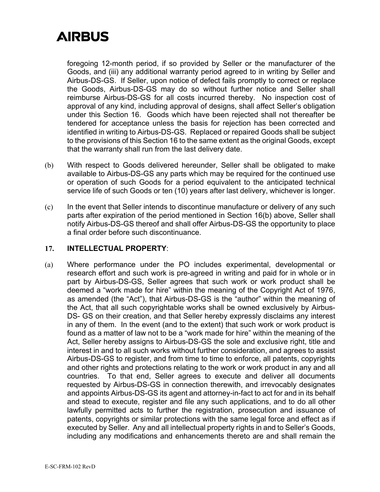foregoing 12-month period, if so provided by Seller or the manufacturer of the Goods, and (iii) any additional warranty period agreed to in writing by Seller and Airbus-DS-GS. If Seller, upon notice of defect fails promptly to correct or replace the Goods, Airbus-DS-GS may do so without further notice and Seller shall reimburse Airbus-DS-GS for all costs incurred thereby. No inspection cost of approval of any kind, including approval of designs, shall affect Seller's obligation under this Section 16. Goods which have been rejected shall not thereafter be tendered for acceptance unless the basis for rejection has been corrected and identified in writing to Airbus-DS-GS. Replaced or repaired Goods shall be subject to the provisions of this Section 16 to the same extent as the original Goods, except that the warranty shall run from the last delivery date.

- (b) With respect to Goods delivered hereunder, Seller shall be obligated to make available to Airbus-DS-GS any parts which may be required for the continued use or operation of such Goods for a period equivalent to the anticipated technical service life of such Goods or ten (10) years after last delivery, whichever is longer.
- (c) In the event that Seller intends to discontinue manufacture or delivery of any such parts after expiration of the period mentioned in Section 16(b) above, Seller shall notify Airbus-DS-GS thereof and shall offer Airbus-DS-GS the opportunity to place a final order before such discontinuance.

#### **17. INTELLECTUAL PROPERTY**:

(a) Where performance under the PO includes experimental, developmental or research effort and such work is pre-agreed in writing and paid for in whole or in part by Airbus-DS-GS, Seller agrees that such work or work product shall be deemed a "work made for hire" within the meaning of the Copyright Act of 1976, as amended (the "Act"), that Airbus-DS-GS is the "author" within the meaning of the Act, that all such copyrightable works shall be owned exclusively by Airbus-DS- GS on their creation, and that Seller hereby expressly disclaims any interest in any of them. In the event (and to the extent) that such work or work product is found as a matter of law not to be a "work made for hire" within the meaning of the Act, Seller hereby assigns to Airbus-DS-GS the sole and exclusive right, title and interest in and to all such works without further consideration, and agrees to assist Airbus-DS-GS to register, and from time to time to enforce, all patents, copyrights and other rights and protections relating to the work or work product in any and all countries. To that end, Seller agrees to execute and deliver all documents requested by Airbus-DS-GS in connection therewith, and irrevocably designates and appoints Airbus-DS-GS its agent and attorney-in-fact to act for and in its behalf and stead to execute, register and file any such applications, and to do all other lawfully permitted acts to further the registration, prosecution and issuance of patents, copyrights or similar protections with the same legal force and effect as if executed by Seller. Any and all intellectual property rights in and to Seller's Goods, including any modifications and enhancements thereto are and shall remain the